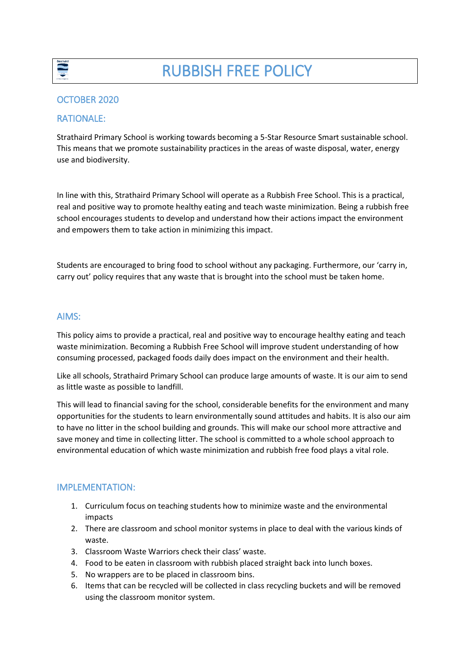

## OCTOBER 2020

### RATIONALE:

Strathaird Primary School is working towards becoming a 5-Star Resource Smart sustainable school. This means that we promote sustainability practices in the areas of waste disposal, water, energy use and biodiversity.

In line with this, Strathaird Primary School will operate as a Rubbish Free School. This is a practical, real and positive way to promote healthy eating and teach waste minimization. Being a rubbish free school encourages students to develop and understand how their actions impact the environment and empowers them to take action in minimizing this impact.

Students are encouraged to bring food to school without any packaging. Furthermore, our 'carry in, carry out' policy requires that any waste that is brought into the school must be taken home.

#### AIMS:

This policy aims to provide a practical, real and positive way to encourage healthy eating and teach waste minimization. Becoming a Rubbish Free School will improve student understanding of how consuming processed, packaged foods daily does impact on the environment and their health.

Like all schools, Strathaird Primary School can produce large amounts of waste. It is our aim to send as little waste as possible to landfill.

This will lead to financial saving for the school, considerable benefits for the environment and many opportunities for the students to learn environmentally sound attitudes and habits. It is also our aim to have no litter in the school building and grounds. This will make our school more attractive and save money and time in collecting litter. The school is committed to a whole school approach to environmental education of which waste minimization and rubbish free food plays a vital role.

### IMPLEMENTATION:

- 1. Curriculum focus on teaching students how to minimize waste and the environmental impacts
- 2. There are classroom and school monitor systems in place to deal with the various kinds of waste.
- 3. Classroom Waste Warriors check their class' waste.
- 4. Food to be eaten in classroom with rubbish placed straight back into lunch boxes.
- 5. No wrappers are to be placed in classroom bins.
- 6. Items that can be recycled will be collected in class recycling buckets and will be removed using the classroom monitor system.